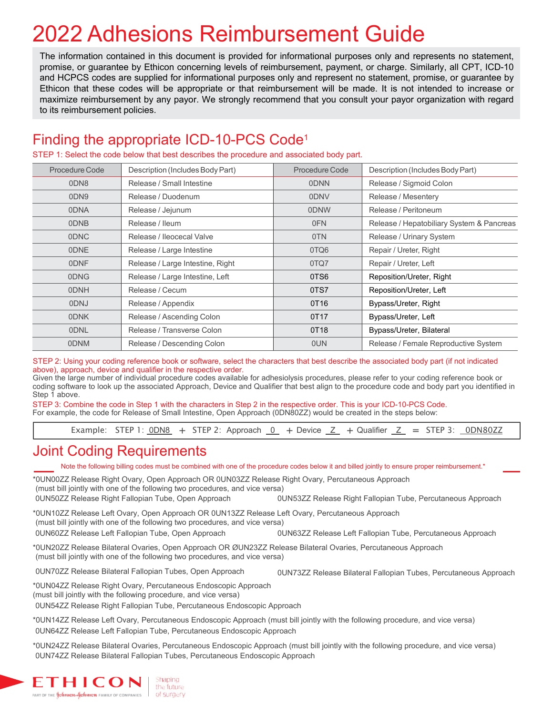# 2022 Adhesions Reimbursement Guide

The information contained in this document is provided for informational purposes only and represents no statement, promise, or guarantee by Ethicon concerning levels of reimbursement, payment, or charge. Similarly, all CPT, ICD-10 and HCPCS codes are supplied for informational purposes only and represent no statement, promise, or guarantee by Ethicon that these codes will be appropriate or that reimbursement will be made. It is not intended to increase or maximize reimbursement by any payor. We strongly recommend that you consult your payor organization with regard to its reimbursement policies.

## Finding the appropriate ICD-10-PCS Code1

STEP 1: Select the code below that best describes the procedure and associated body part.

| Procedure Code | Description (Includes Body Part) | Procedure Code | Description (Includes Body Part)          |  |
|----------------|----------------------------------|----------------|-------------------------------------------|--|
| 0DN8           | Release / Small Intestine        | 0DNN           | Release / Sigmoid Colon                   |  |
| 0DN9           | Release / Duodenum               | 0DNV           | Release / Mesentery                       |  |
| 0DNA           | Release / Jejunum                | 0DNW           | Release / Peritoneum                      |  |
| 0DNB           | Release / Ileum                  | 0FN            | Release / Hepatobiliary System & Pancreas |  |
| 0DNC           | Release / Ileocecal Valve        | 0TN            | Release / Urinary System                  |  |
| 0DNE           | Release / Large Intestine        | 0TQ6           | Repair / Ureter, Right                    |  |
| 0DNF           | Release / Large Intestine, Right | 0TQ7           | Repair / Ureter, Left                     |  |
| 0DNG           | Release / Large Intestine, Left  | 0TS6           | Reposition/Ureter, Right                  |  |
| 0DNH           | Release / Cecum                  | 0TS7           | Reposition/Ureter, Left                   |  |
| 0DNJ           | Release / Appendix               | 0T16           | Bypass/Ureter, Right                      |  |
| 0DNK           | Release / Ascending Colon        | 0T17           | Bypass/Ureter, Left                       |  |
| <b>ODNL</b>    | Release / Transverse Colon       | 0T18           | Bypass/Ureter, Bilateral                  |  |
| 0DNM           | Release / Descending Colon       | 0UN            | Release / Female Reproductive System      |  |

STEP 2: Using your coding reference book or software, select the characters that best describe the associated body part (if not indicated above), approach, device and qualifier in the respective order.

Given the large number of individual procedure codes available for adhesiolysis procedures, please refer to your coding reference book or coding software to look up the associated Approach, Device and Qualifier that best align to the procedure code and body part you identified in Step 1 above.

STEP 3: Combine the code in Step 1 with the characters in Step 2 in the respective order. This is your ICD-10-PCS Code. For example, the code for Release of Small Intestine, Open Approach (0DN80ZZ) would be created in the steps below:

Example: STEP 1:  $0\overline{D}$ N8 + STEP 2: Approach  $0 +$  Device  $Z +$  Qualifier  $Z =$  STEP 3:  $0\overline{D}$ N8022

#### Joint Coding Requirements

Note the following billing codes must be combined with one of the procedure codes below it and billed jointly to ensure proper reimbursement.\*

\*0UN00ZZ Release Right Ovary, Open Approach OR 0UN03ZZ Release Right Ovary, Percutaneous Approach (must bill jointly with one of the following two procedures, and vice versa) 0UN50ZZ Release Right Fallopian Tube, Open Approach 0UN53ZZ Release Right Fallopian Tube, Percutaneous Approach

\*0UN10ZZ Release Left Ovary, Open Approach OR 0UN13ZZ Release Left Ovary, Percutaneous Approach (must bill jointly with one of the following two procedures, and vice versa) 0UN60ZZ Release Left Fallopian Tube, Open Approach 0UN63ZZ Release Left Fallopian Tube, Percutaneous Approach

\*0UN20ZZ Release Bilateral Ovaries, Open Approach OR ØUN23ZZ Release Bilateral Ovaries, Percutaneous Approach (must bill jointly with one of the following two procedures, and vice versa)

0UN70ZZ Release Bilateral Fallopian Tubes, Open Approach

0UN73ZZ Release Bilateral Fallopian Tubes, Percutaneous Approach

\*0UN04ZZ Release Right Ovary, Percutaneous Endoscopic Approach (must bill jointly with the following procedure, and vice versa)

0UN54ZZ Release Right Fallopian Tube, Percutaneous Endoscopic Approach

\*0UN14ZZ Release Left Ovary, Percutaneous Endoscopic Approach (must bill jointly with the following procedure, and vice versa) 0UN64ZZ Release Left Fallopian Tube, Percutaneous Endoscopic Approach

\*0UN24ZZ Release Bilateral Ovaries, Percutaneous Endoscopic Approach (must bill jointly with the following procedure, and vice versa) 0UN74ZZ Release Bilateral Fallopian Tubes, Percutaneous Endoscopic Approach

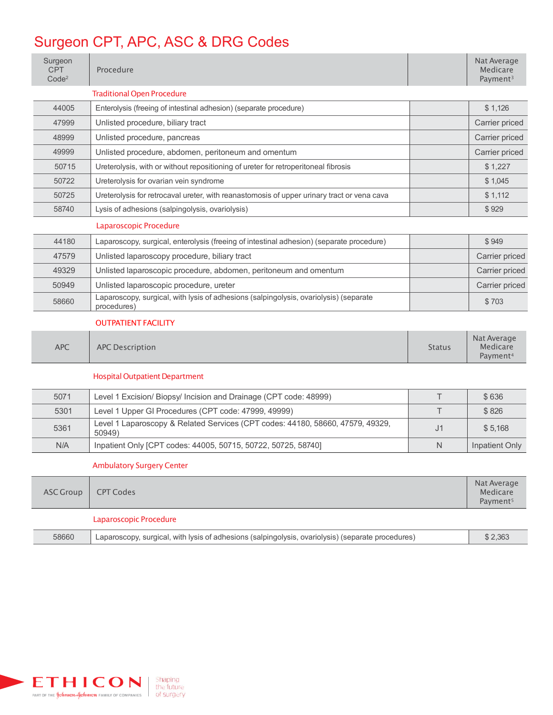# Surgeon CPT, APC, ASC & DRG Codes

| Surgeon<br><b>CPT</b><br>Code <sup>2</sup> | Procedure                                                                                            |                | Nat Average<br>Medicare<br>Payment <sup>3</sup> |
|--------------------------------------------|------------------------------------------------------------------------------------------------------|----------------|-------------------------------------------------|
|                                            | <b>Traditional Open Procedure</b>                                                                    |                |                                                 |
| 44005                                      | Enterolysis (freeing of intestinal adhesion) (separate procedure)                                    |                | \$1,126                                         |
| 47999                                      | Unlisted procedure, biliary tract                                                                    |                | Carrier priced                                  |
| 48999                                      | Unlisted procedure, pancreas                                                                         |                | Carrier priced                                  |
| 49999                                      | Unlisted procedure, abdomen, peritoneum and omentum                                                  |                | Carrier priced                                  |
| 50715                                      | Ureterolysis, with or without repositioning of ureter for retroperitoneal fibrosis                   |                | \$1,227                                         |
| 50722                                      | Ureterolysis for ovarian vein syndrome                                                               |                | \$1,045                                         |
| 50725                                      | Ureterolysis for retrocaval ureter, with reanastomosis of upper urinary tract or vena cava           |                | \$1,112                                         |
| 58740                                      | Lysis of adhesions (salpingolysis, ovariolysis)                                                      |                | \$929                                           |
|                                            | Laparoscopic Procedure                                                                               |                |                                                 |
| 44180                                      | Laparoscopy, surgical, enterolysis (freeing of intestinal adhesion) (separate procedure)             |                | \$949                                           |
| 47579                                      | Unlisted laparoscopy procedure, biliary tract                                                        |                | Carrier priced                                  |
| 49329                                      | Unlisted laparoscopic procedure, abdomen, peritoneum and omentum                                     |                | Carrier priced                                  |
| 50949                                      | Unlisted laparoscopic procedure, ureter                                                              |                | Carrier priced                                  |
| 58660                                      | Laparoscopy, surgical, with lysis of adhesions (salpingolysis, ovariolysis) (separate<br>procedures) |                | \$703                                           |
|                                            | <b>OUTPATIENT FACILITY</b>                                                                           |                |                                                 |
| <b>APC</b>                                 | <b>APC Description</b>                                                                               | <b>Status</b>  | Nat Average<br>Medicare<br>Payment <sup>4</sup> |
|                                            | <b>Hospital Outpatient Department</b>                                                                |                |                                                 |
| 5071                                       | Level 1 Excision/ Biopsy/ Incision and Drainage (CPT code: 48999)                                    | $\top$         | \$636                                           |
| 5301                                       | Level 1 Upper GI Procedures (CPT code: 47999, 49999)                                                 | T.             | \$826                                           |
| 5361                                       | Level 1 Laparoscopy & Related Services (CPT codes: 44180, 58660, 47579, 49329,<br>50949)             | J <sub>1</sub> | \$5,168                                         |
| N/A                                        | Inpatient Only [CPT codes: 44005, 50715, 50722, 50725, 58740]                                        | N              | Inpatient Only                                  |
|                                            | <b>Ambulatory Surgery Center</b>                                                                     |                |                                                 |
| <b>ASC Group</b>                           | <b>CPT Codes</b>                                                                                     |                | Nat Average<br>Medicare<br>Payment <sup>5</sup> |
|                                            | Laparoscopic Procedure                                                                               |                |                                                 |
| 58660                                      | Laparoscopy, surgical, with lysis of adhesions (salpingolysis, ovariolysis) (separate procedures)    |                | \$2,363                                         |